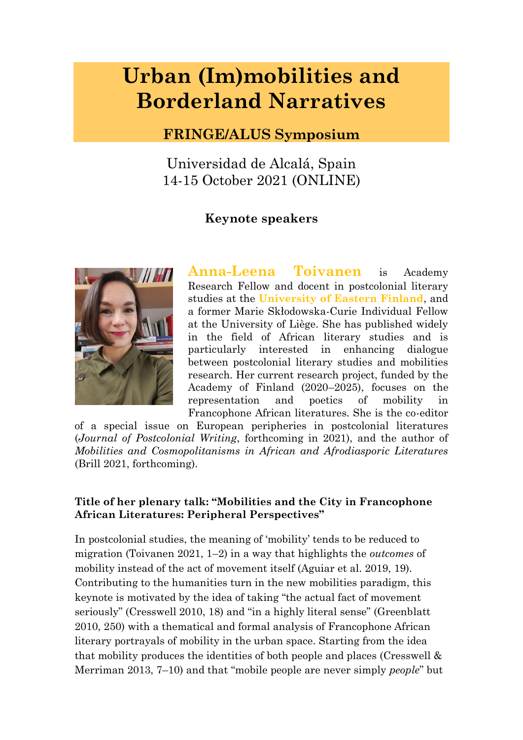# **Urban (Im)mobilities and Borderland Narratives**

## **FRINGE/ALUS Symposium**

Universidad de Alcalá, Spain 14-15 October 2021 (ONLINE)

## **Keynote speakers**



**Anna-Leena Toivanen** is Academy Research Fellow and docent in postcolonial literary studies at the **University of Eastern Finland**, and a former Marie Skłodowska-Curie Individual Fellow at the University of Liège. She has published widely in the field of African literary studies and is particularly interested in enhancing dialogue between postcolonial literary studies and mobilities research. Her current research project, funded by the Academy of Finland (2020–2025), focuses on the representation and poetics of mobility in Francophone African literatures. She is the co-editor

of a special issue on European peripheries in postcolonial literatures (*Journal of Postcolonial Writing*, forthcoming in 2021), and the author of *Mobilities and Cosmopolitanisms in African and Afrodiasporic Literatures* (Brill 2021, forthcoming).

#### **Title of her plenary talk: "Mobilities and the City in Francophone African Literatures: Peripheral Perspectives"**

In postcolonial studies, the meaning of "mobility" tends to be reduced to migration (Toivanen 2021, 1–2) in a way that highlights the *outcomes* of mobility instead of the act of movement itself (Aguiar et al. 2019, 19). Contributing to the humanities turn in the new mobilities paradigm, this keynote is motivated by the idea of taking "the actual fact of movement seriously" (Cresswell 2010, 18) and "in a highly literal sense" (Greenblatt 2010, 250) with a thematical and formal analysis of Francophone African literary portrayals of mobility in the urban space. Starting from the idea that mobility produces the identities of both people and places (Cresswell & Merriman 2013, 7–10) and that "mobile people are never simply *people*" but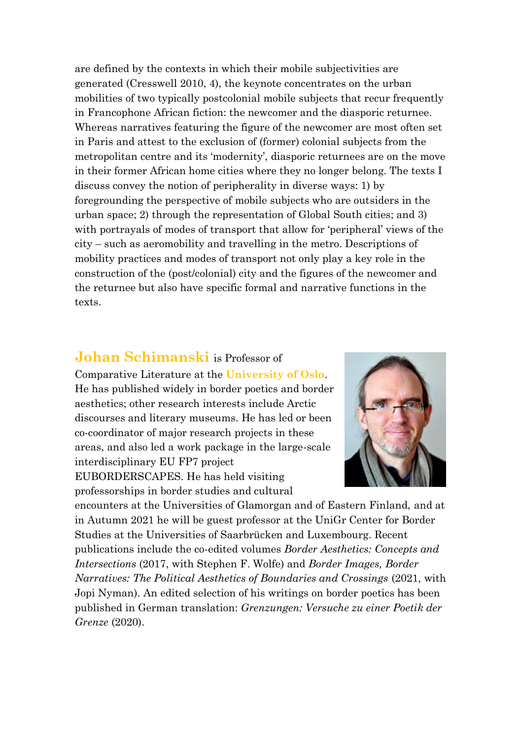are defined by the contexts in which their mobile subjectivities are generated (Cresswell 2010, 4), the keynote concentrates on the urban mobilities of two typically postcolonial mobile subjects that recur frequently in Francophone African fiction: the newcomer and the diasporic returnee. Whereas narratives featuring the figure of the newcomer are most often set in Paris and attest to the exclusion of (former) colonial subjects from the metropolitan centre and its 'modernity', diasporic returnees are on the move in their former African home cities where they no longer belong. The texts I discuss convey the notion of peripherality in diverse ways: 1) by foregrounding the perspective of mobile subjects who are outsiders in the urban space; 2) through the representation of Global South cities; and 3) with portrayals of modes of transport that allow for "peripheral" views of the city – such as aeromobility and travelling in the metro. Descriptions of mobility practices and modes of transport not only play a key role in the construction of the (post/colonial) city and the figures of the newcomer and the returnee but also have specific formal and narrative functions in the texts.

## **Johan Schimanski** is Professor of

Comparative Literature at the **University of Oslo**. He has published widely in border poetics and border aesthetics; other research interests include Arctic discourses and literary museums. He has led or been co-coordinator of major research projects in these areas, and also led a work package in the large-scale interdisciplinary EU FP7 project EUBORDERSCAPES. He has held visiting professorships in border studies and cultural



encounters at the Universities of Glamorgan and of Eastern Finland, and at in Autumn 2021 he will be guest professor at the UniGr Center for Border Studies at the Universities of Saarbrücken and Luxembourg. Recent publications include the co-edited volumes *Border Aesthetics: Concepts and Intersections* (2017, with Stephen F. Wolfe) and *Border Images, Border Narratives: The Political Aesthetics of Boundaries and Crossings* (2021, with Jopi Nyman). An edited selection of his writings on border poetics has been published in German translation: *Grenzungen: Versuche zu einer Poetik der Grenze* (2020).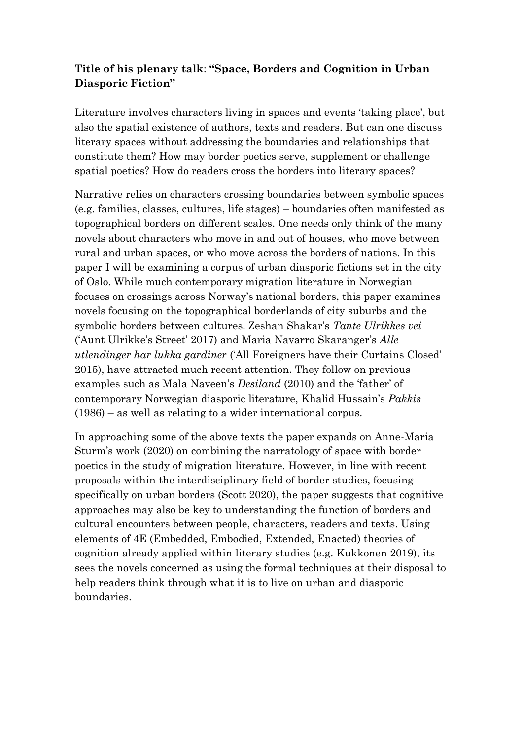#### **Title of his plenary talk**: **"Space, Borders and Cognition in Urban Diasporic Fiction"**

Literature involves characters living in spaces and events "taking place", but also the spatial existence of authors, texts and readers. But can one discuss literary spaces without addressing the boundaries and relationships that constitute them? How may border poetics serve, supplement or challenge spatial poetics? How do readers cross the borders into literary spaces?

Narrative relies on characters crossing boundaries between symbolic spaces (e.g. families, classes, cultures, life stages) – boundaries often manifested as topographical borders on different scales. One needs only think of the many novels about characters who move in and out of houses, who move between rural and urban spaces, or who move across the borders of nations. In this paper I will be examining a corpus of urban diasporic fictions set in the city of Oslo. While much contemporary migration literature in Norwegian focuses on crossings across Norway's national borders, this paper examines novels focusing on the topographical borderlands of city suburbs and the symbolic borders between cultures. Zeshan Shakar"s *Tante Ulrikkes vei* ("Aunt Ulrikke"s Street" 2017) and Maria Navarro Skaranger"s *Alle utlendinger har lukka gardiner* ("All Foreigners have their Curtains Closed" 2015), have attracted much recent attention. They follow on previous examples such as Mala Naveen's *Desiland* (2010) and the 'father' of contemporary Norwegian diasporic literature, Khalid Hussain"s *Pakkis* (1986) – as well as relating to a wider international corpus.

In approaching some of the above texts the paper expands on Anne-Maria Sturm"s work (2020) on combining the narratology of space with border poetics in the study of migration literature. However, in line with recent proposals within the interdisciplinary field of border studies, focusing specifically on urban borders (Scott 2020), the paper suggests that cognitive approaches may also be key to understanding the function of borders and cultural encounters between people, characters, readers and texts. Using elements of 4E (Embedded, Embodied, Extended, Enacted) theories of cognition already applied within literary studies (e.g. Kukkonen 2019), its sees the novels concerned as using the formal techniques at their disposal to help readers think through what it is to live on urban and diasporic boundaries.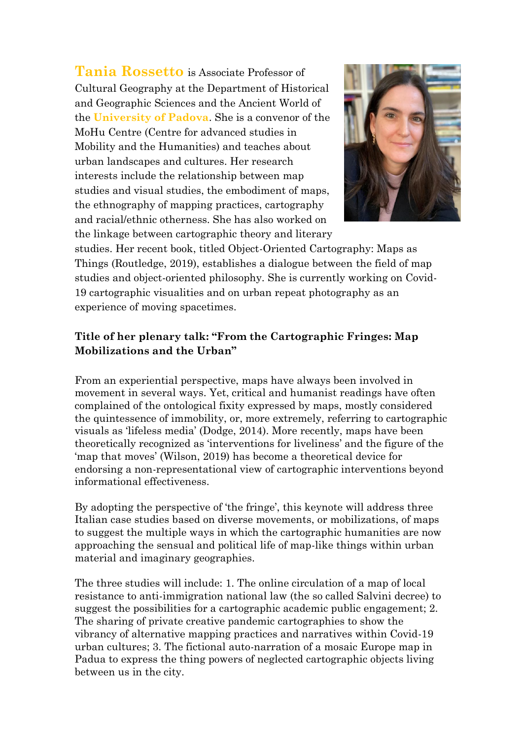**Tania Rossetto** is Associate Professor of Cultural Geography at the Department of Historical and Geographic Sciences and the Ancient World of the **University of Padova**. She is a convenor of the MoHu Centre (Centre for advanced studies in Mobility and the Humanities) and teaches about urban landscapes and cultures. Her research interests include the relationship between map studies and visual studies, the embodiment of maps, the ethnography of mapping practices, cartography and racial/ethnic otherness. She has also worked on the linkage between cartographic theory and literary



studies. Her recent book, titled Object-Oriented Cartography: Maps as Things (Routledge, 2019), establishes a dialogue between the field of map studies and object-oriented philosophy. She is currently working on Covid-19 cartographic visualities and on urban repeat photography as an experience of moving spacetimes.

#### **Title of her plenary talk: "From the Cartographic Fringes: Map Mobilizations and the Urban"**

From an experiential perspective, maps have always been involved in movement in several ways. Yet, critical and humanist readings have often complained of the ontological fixity expressed by maps, mostly considered the quintessence of immobility, or, more extremely, referring to cartographic visuals as "lifeless media" (Dodge, 2014). More recently, maps have been theoretically recognized as "interventions for liveliness" and the figure of the "map that moves" (Wilson, 2019) has become a theoretical device for endorsing a non-representational view of cartographic interventions beyond informational effectiveness.

By adopting the perspective of 'the fringe', this keynote will address three Italian case studies based on diverse movements, or mobilizations, of maps to suggest the multiple ways in which the cartographic humanities are now approaching the sensual and political life of map-like things within urban material and imaginary geographies.

The three studies will include: 1. The online circulation of a map of local resistance to anti-immigration national law (the so called Salvini decree) to suggest the possibilities for a cartographic academic public engagement; 2. The sharing of private creative pandemic cartographies to show the vibrancy of alternative mapping practices and narratives within Covid-19 urban cultures; 3. The fictional auto-narration of a mosaic Europe map in Padua to express the thing powers of neglected cartographic objects living between us in the city.